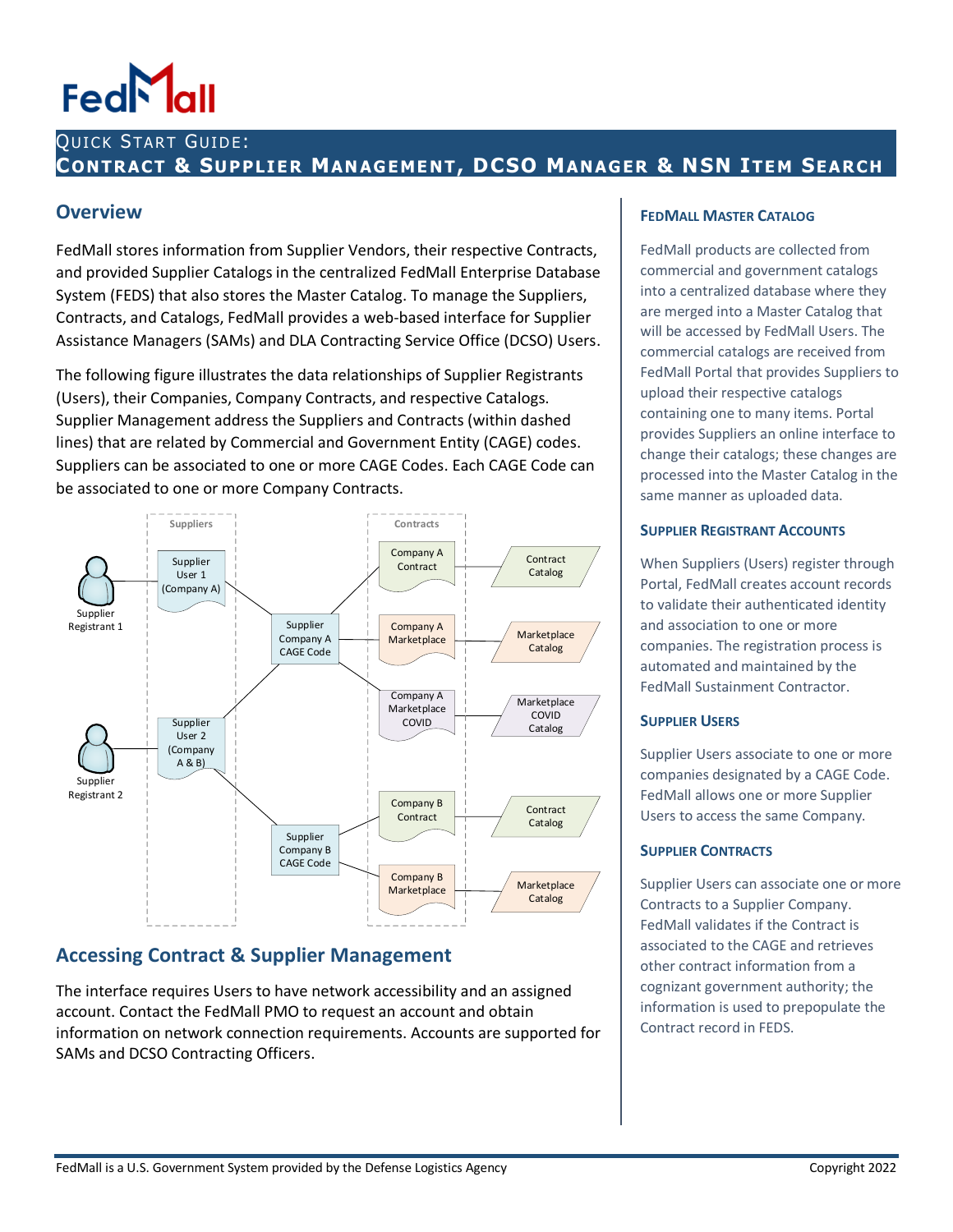## QUICK START GUIDE: **CONTRACT & SUPPLIE R MAN AGEME NT, DCSO MANAGER & NSN ITE M SEARCH**

### **Overview**

FedMall stores information from Supplier Vendors, their respective Contracts, and provided Supplier Catalogs in the centralized FedMall Enterprise Database System (FEDS) that also stores the Master Catalog. To manage the Suppliers, Contracts, and Catalogs, FedMall provides a web-based interface for Supplier Assistance Managers (SAMs) and DLA Contracting Service Office (DCSO) Users.

The following figure illustrates the data relationships of Supplier Registrants (Users), their Companies, Company Contracts, and respective Catalogs. Supplier Management address the Suppliers and Contracts (within dashed lines) that are related by Commercial and Government Entity (CAGE) codes. Suppliers can be associated to one or more CAGE Codes. Each CAGE Code can be associated to one or more Company Contracts.



## **Accessing Contract & Supplier Management**

The interface requires Users to have network accessibility and an assigned account. Contact the FedMall PMO to request an account and obtain information on network connection requirements. Accounts are supported for SAMs and DCSO Contracting Officers.

#### **FEDMALL MASTER CATALOG**

FedMall products are collected from commercial and government catalogs into a centralized database where they are merged into a Master Catalog that will be accessed by FedMall Users. The commercial catalogs are received from FedMall Portal that provides Suppliers to upload their respective catalogs containing one to many items. Portal provides Suppliers an online interface to change their catalogs; these changes are processed into the Master Catalog in the same manner as uploaded data.

#### **SUPPLIER REGISTRANT ACCOUNTS**

When Suppliers (Users) register through Portal, FedMall creates account records to validate their authenticated identity and association to one or more companies. The registration process is automated and maintained by the FedMall Sustainment Contractor.

#### **SUPPLIER USERS**

Supplier Users associate to one or more companies designated by a CAGE Code. FedMall allows one or more Supplier Users to access the same Company.

#### **SUPPLIER CONTRACTS**

Supplier Users can associate one or more Contracts to a Supplier Company. FedMall validates if the Contract is associated to the CAGE and retrieves other contract information from a cognizant government authority; the information is used to prepopulate the Contract record in FEDS.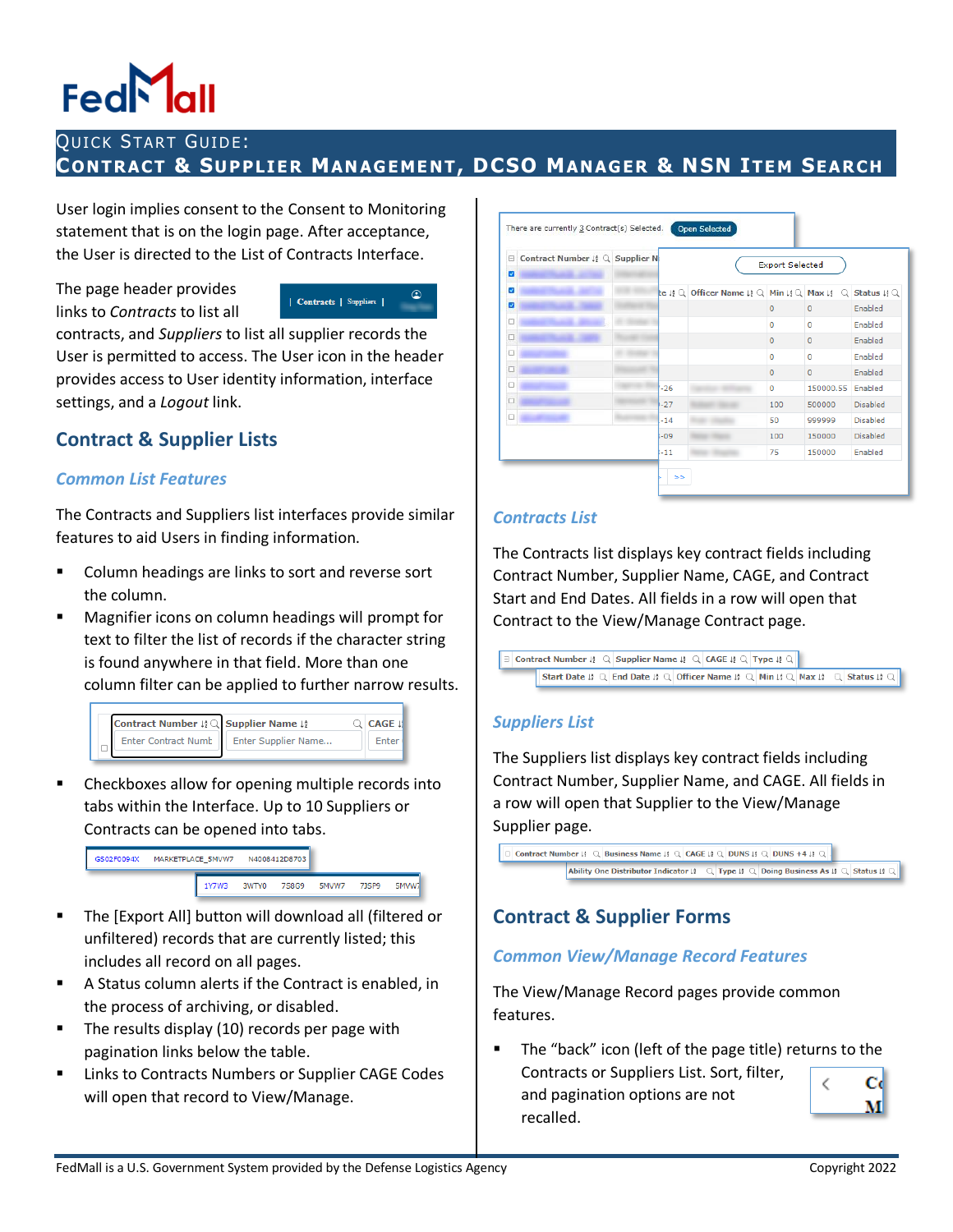## QUICK START GUIDE: **CONTRACT & SUPPLIE R MAN AGEME NT, DCSO MANAGER & NSN ITE M SEARCH**

User login implies consent to the Consent to Monitoring statement that is on the login page. After acceptance, the User is directed to the List of Contracts Interface.

The page header provides links to *Contracts* to list all



contracts, and *Suppliers* to list all supplier records the User is permitted to access. The User icon in the header provides access to User identity information, interface settings, and a *Logout* link.

# **Contract & Supplier Lists**

#### *Common List Features*

The Contracts and Suppliers list interfaces provide similar features to aid Users in finding information.

- Column headings are links to sort and reverse sort the column.
- Magnifier icons on column headings will prompt for text to filter the list of records if the character string is found anywhere in that field. More than one column filter can be applied to further narrow results.



 Checkboxes allow for opening multiple records into tabs within the Interface. Up to 10 Suppliers or Contracts can be opened into tabs.



- The [Export All] button will download all (filtered or unfiltered) records that are currently listed; this includes all record on all pages.
- A Status column alerts if the Contract is enabled, in the process of archiving, or disabled.
- The results display (10) records per page with pagination links below the table.
- **E** Links to Contracts Numbers or Supplier CAGE Codes will open that record to View/Manage.

| 8<br>ø | Contract Number 12 Q Supplier N |                    |                                                                                           | <b>Export Selected</b> |                |                                                 |
|--------|---------------------------------|--------------------|-------------------------------------------------------------------------------------------|------------------------|----------------|-------------------------------------------------|
| ø      |                                 | $\mathsf{le}$ is Q | Officer Name $\downarrow$ $2 \mathbb{Q}$ Min $\downarrow$ $2 \mathbb{Q}$ Max $\downarrow$ |                        | Q.             | Status $\mathfrak{g} \mathfrak{g} \mathfrak{g}$ |
| ø      |                                 |                    |                                                                                           | $\overline{0}$         | $\overline{0}$ | Enabled                                         |
| □      |                                 |                    |                                                                                           | 0                      | $\circ$        | Enabled                                         |
| □      |                                 |                    |                                                                                           | $\mathbf 0$            | $\mathbf{0}$   | Enabled                                         |
| $\Box$ |                                 |                    |                                                                                           | $\mathbf{O}$           | $\circ$        | Enabled                                         |
| □      |                                 |                    |                                                                                           | $\mathbf{0}$           | $\mathbf{0}$   | Enabled                                         |
| $\Box$ |                                 | $-26$              |                                                                                           | $\circ$                | 150000.55      | Enabled                                         |
| $\Box$ |                                 | $-27$              |                                                                                           | 100                    | 500000         | <b>Disabled</b>                                 |
| □      |                                 | $-14$              |                                                                                           | 50                     | 999999         | <b>Disabled</b>                                 |
|        |                                 | $-09$              |                                                                                           | 100                    | 150000         | <b>Disabled</b>                                 |
|        |                                 | $-11$              |                                                                                           | 75                     | 150000         | Enabled                                         |

#### *Contracts List*

The Contracts list displays key contract fields including Contract Number, Supplier Name, CAGE, and Contract Start and End Dates. All fields in a row will open that Contract to the View/Manage Contract page.



### *Suppliers List*

The Suppliers list displays key contract fields including Contract Number, Supplier Name, and CAGE. All fields in a row will open that Supplier to the View/Manage Supplier page.



# **Contract & Supplier Forms**

#### *Common View/Manage Record Features*

The View/Manage Record pages provide common features.

 The "back" icon (left of the page title) returns to the Contracts or Suppliers List. Sort, filter, Сd and pagination options are not recalled.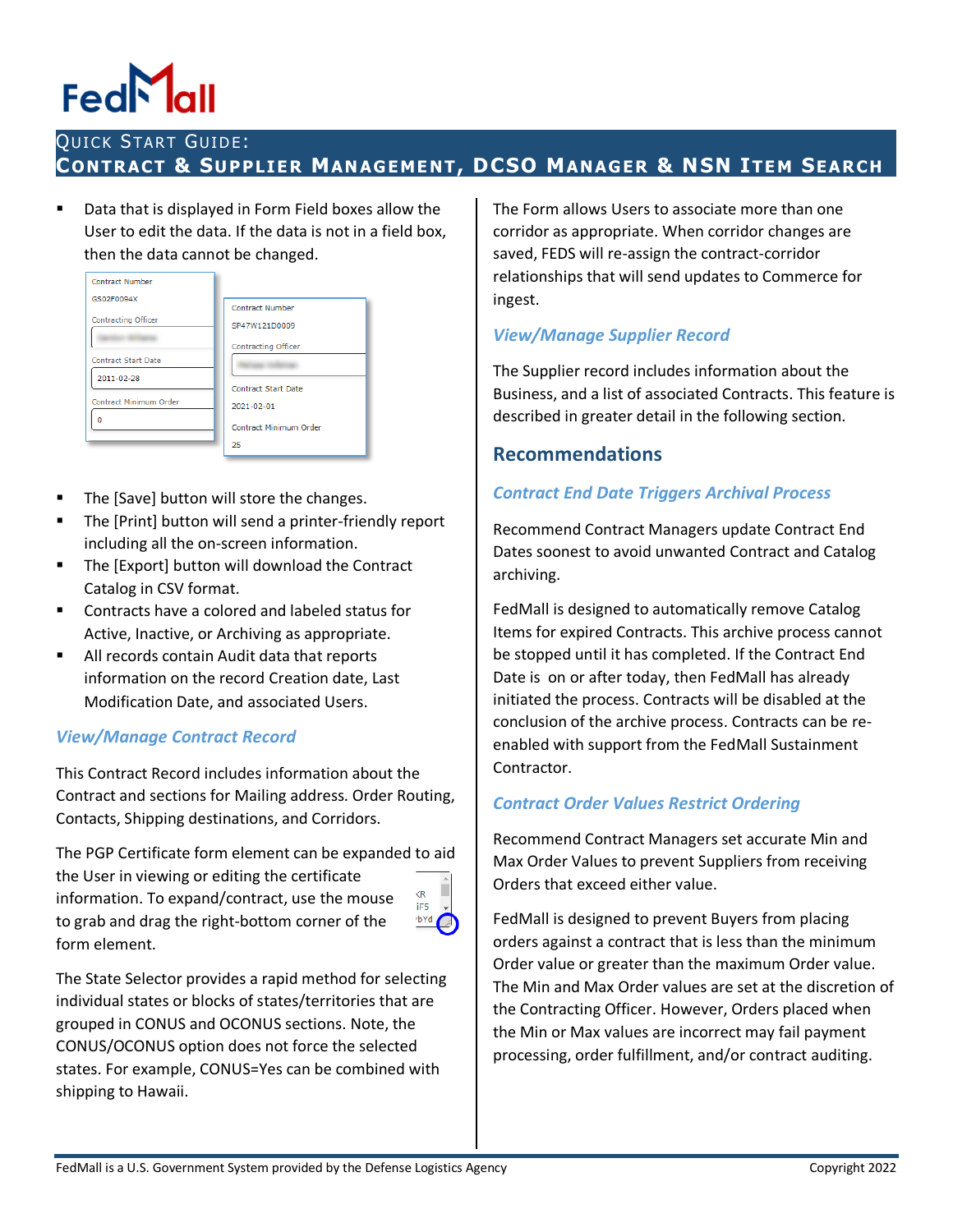# QUICK START GUIDE: **CONTRACT & SUPPLIE R MAN AGEME NT, DCSO MANAGER & NSN ITE M SEARCH**

 Data that is displayed in Form Field boxes allow the User to edit the data. If the data is not in a field box, then the data cannot be changed.



- The [Save] button will store the changes.
- **The [Print] button will send a printer-friendly report** including all the on-screen information.
- The [Export] button will download the Contract Catalog in CSV format.
- Contracts have a colored and labeled status for Active, Inactive, or Archiving as appropriate.
- All records contain Audit data that reports information on the record Creation date, Last Modification Date, and associated Users.

## *View/Manage Contract Record*

This Contract Record includes information about the Contract and sections for Mailing address. Order Routing, Contacts, Shipping destinations, and Corridors.

The PGP Certificate form element can be expanded to aid the User in viewing or editing the certificate  $\overline{R}$ information. To expand/contract, use the mouse iF5 to grab and drag the right-bottom corner of the form element.



The State Selector provides a rapid method for selecting individual states or blocks of states/territories that are grouped in CONUS and OCONUS sections. Note, the CONUS/OCONUS option does not force the selected states. For example, CONUS=Yes can be combined with shipping to Hawaii.

The Form allows Users to associate more than one corridor as appropriate. When corridor changes are saved, FEDS will re-assign the contract-corridor relationships that will send updates to Commerce for ingest.

#### *View/Manage Supplier Record*

The Supplier record includes information about the Business, and a list of associated Contracts. This feature is described in greater detail in the following section.

#### **Recommendations**

#### *Contract End Date Triggers Archival Process*

Recommend Contract Managers update Contract End Dates soonest to avoid unwanted Contract and Catalog archiving.

FedMall is designed to automatically remove Catalog Items for expired Contracts. This archive process cannot be stopped until it has completed. If the Contract End Date is on or after today, then FedMall has already initiated the process. Contracts will be disabled at the conclusion of the archive process. Contracts can be reenabled with support from the FedMall Sustainment Contractor.

### *Contract Order Values Restrict Ordering*

Recommend Contract Managers set accurate Min and Max Order Values to prevent Suppliers from receiving Orders that exceed either value.

FedMall is designed to prevent Buyers from placing orders against a contract that is less than the minimum Order value or greater than the maximum Order value. The Min and Max Order values are set at the discretion of the Contracting Officer. However, Orders placed when the Min or Max values are incorrect may fail payment processing, order fulfillment, and/or contract auditing.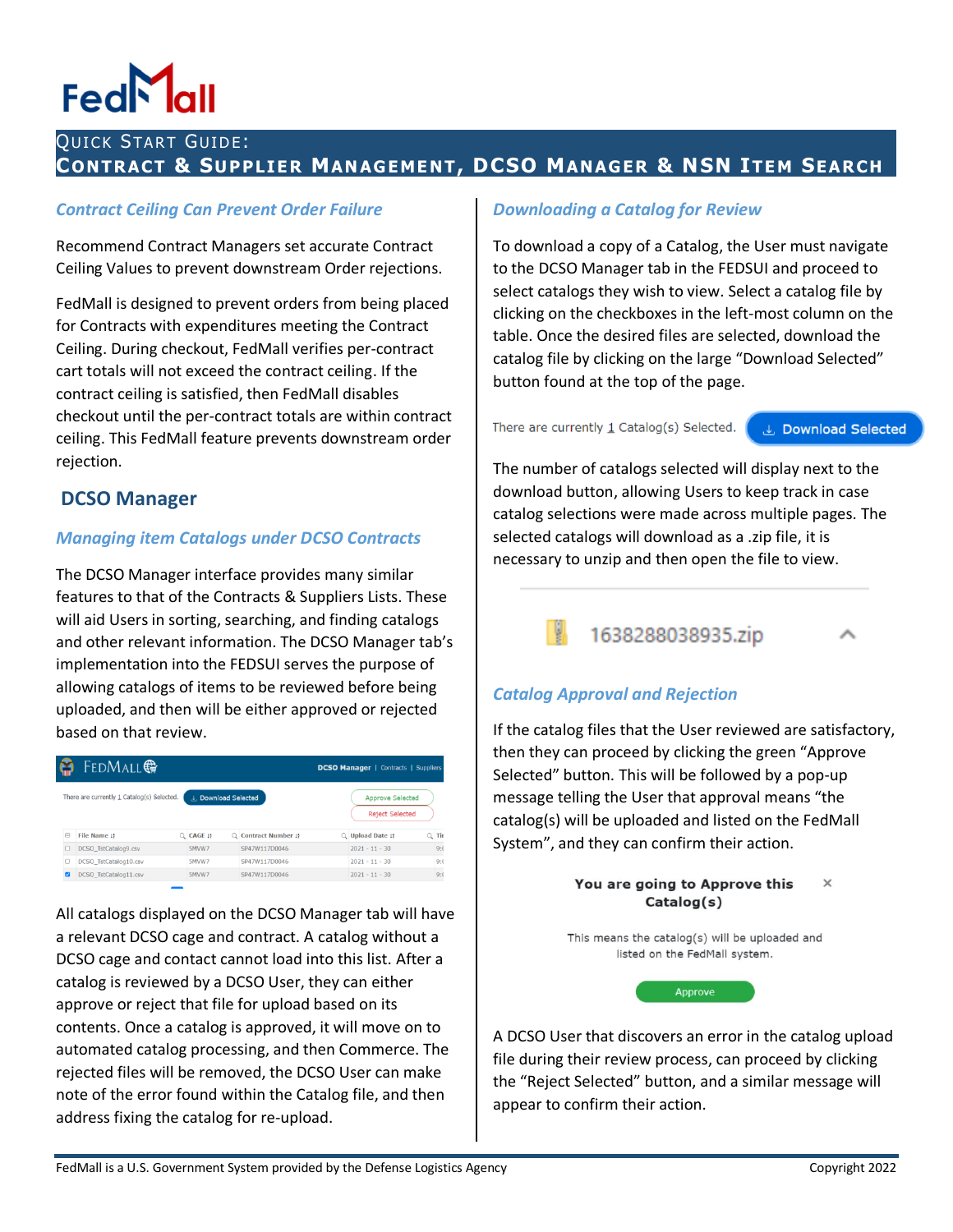## QUICK START GUIDE: **CONTRACT & SUPPLIE R MAN AGEME NT, DCSO MANAGER & NSN ITE M SEARCH**

#### *Contract Ceiling Can Prevent Order Failure*

Recommend Contract Managers set accurate Contract Ceiling Values to prevent downstream Order rejections.

FedMall is designed to prevent orders from being placed for Contracts with expenditures meeting the Contract Ceiling. During checkout, FedMall verifies per-contract cart totals will not exceed the contract ceiling. If the contract ceiling is satisfied, then FedMall disables checkout until the per-contract totals are within contract ceiling. This FedMall feature prevents downstream order rejection.

### **DCSO Manager**

#### *Managing item Catalogs under DCSO Contracts*

The DCSO Manager interface provides many similar features to that of the Contracts & Suppliers Lists. These will aid Users in sorting, searching, and finding catalogs and other relevant information. The DCSO Manager tab's implementation into the FEDSUI serves the purpose of allowing catalogs of items to be reviewed before being uploaded, and then will be either approved or rejected based on that review.

|        | <b>FEDMALL</b>                             |                       |                      |    | <b>DCSO Manager   Contracts   Suppliers</b>       |         |
|--------|--------------------------------------------|-----------------------|----------------------|----|---------------------------------------------------|---------|
|        | There are currently 1 Catalog(s) Selected. | L. Download Selected  |                      |    | <b>Approve Selected</b><br><b>Reject Selected</b> |         |
| $\Box$ | File Name 19                               | $Q$ CAGE $\downarrow$ | Q Contract Number 19 | Q. | Upload Date !!                                    | $Q$ Tir |
| o      | DCSO_TstCatalog9.csv                       | 5MVW7                 | SP47W117D0046        |    | $2021 - 11 - 30$                                  | 9:0     |
| о      | DCSO_TstCatalog10.csv                      | 5MVW7                 | SP47W117D0046        |    | $2021 - 11 - 30$                                  | 9:0     |
|        | DCSO_TstCatalog11.csv                      | 5MVW7                 | SP47W117D0046        |    | $2021 - 11 - 30$                                  | 9:0     |

All catalogs displayed on the DCSO Manager tab will have a relevant DCSO cage and contract. A catalog without a DCSO cage and contact cannot load into this list. After a catalog is reviewed by a DCSO User, they can either approve or reject that file for upload based on its contents. Once a catalog is approved, it will move on to automated catalog processing, and then Commerce. The rejected files will be removed, the DCSO User can make note of the error found within the Catalog file, and then address fixing the catalog for re-upload.

#### *Downloading a Catalog for Review*

To download a copy of a Catalog, the User must navigate to the DCSO Manager tab in the FEDSUI and proceed to select catalogs they wish to view. Select a catalog file by clicking on the checkboxes in the left-most column on the table. Once the desired files are selected, download the catalog file by clicking on the large "Download Selected" button found at the top of the page.

There are currently  $1$  Catalog(s) Selected.

**J** Download Selected

The number of catalogs selected will display next to the download button, allowing Users to keep track in case catalog selections were made across multiple pages. The selected catalogs will download as a .zip file, it is necessary to unzip and then open the file to view.



## *Catalog Approval and Rejection*

If the catalog files that the User reviewed are satisfactory, then they can proceed by clicking the green "Approve Selected" button. This will be followed by a pop-up message telling the User that approval means "the catalog(s) will be uploaded and listed on the FedMall System", and they can confirm their action.



A DCSO User that discovers an error in the catalog upload file during their review process, can proceed by clicking the "Reject Selected" button, and a similar message will appear to confirm their action.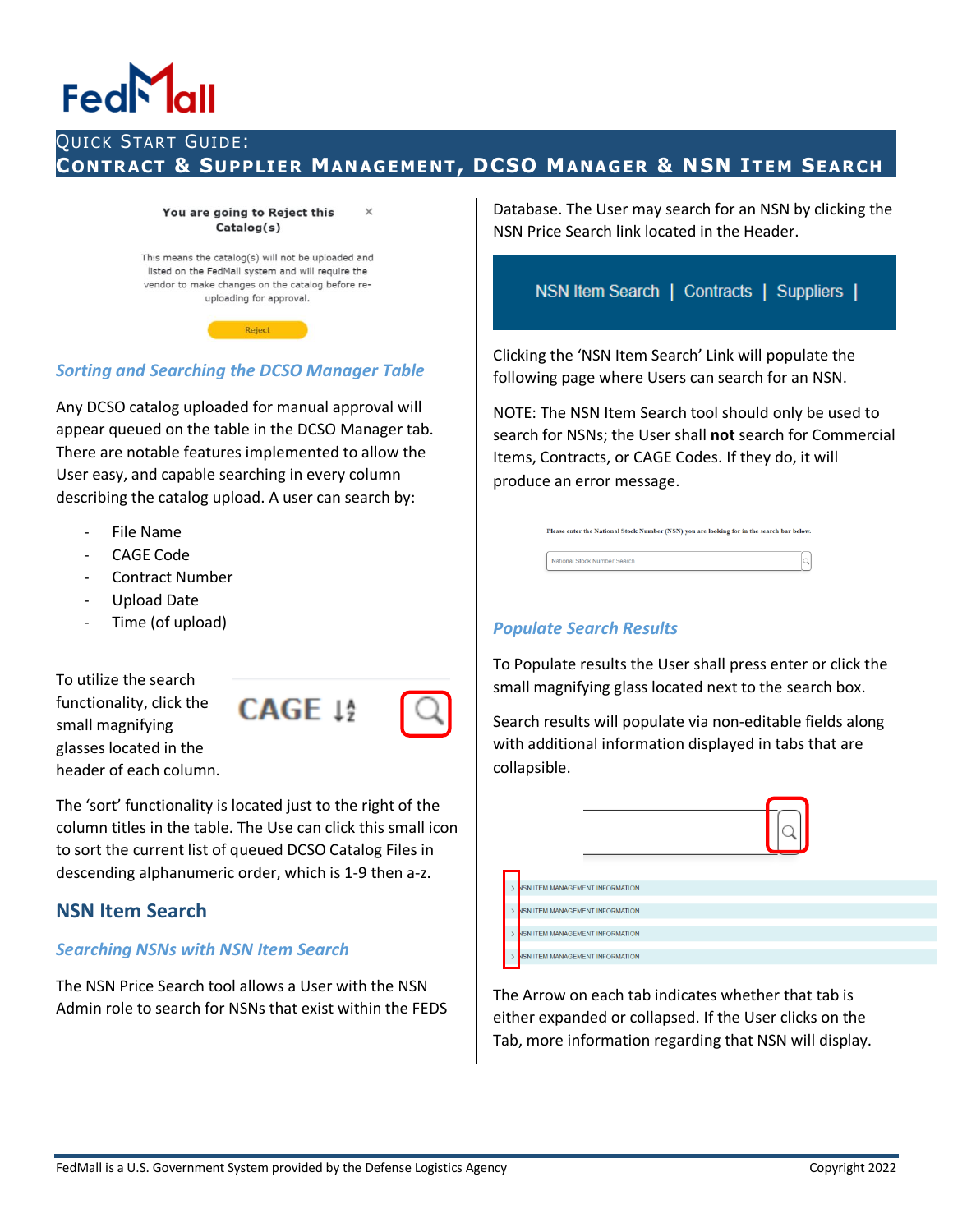# FedN

# QUICK START GUIDE: **CONTRACT & SUPPLIE R MAN AGEME NT, DCSO MANAGER & NSN ITE M SEARCH**

#### You are going to Reject this Catalog(s)

 $\overline{\mathbf{x}}$ 

This means the catalog(s) will not be uploaded and listed on the FedMall system and will require the vendor to make changes on the catalog before reuploading for approval.

Reject

#### *Sorting and Searching the DCSO Manager Table*

Any DCSO catalog uploaded for manual approval will appear queued on the table in the DCSO Manager tab. There are notable features implemented to allow the User easy, and capable searching in every column describing the catalog upload. A user can search by:

- File Name
- CAGE Code
- Contract Number
- Upload Date
- Time (of upload)

To utilize the search functionality, click the small magnifying glasses located in the header of each column.

The 'sort' functionality is located just to the right of the column titles in the table. The Use can click this small icon to sort the current list of queued DCSO Catalog Files in descending alphanumeric order, which is 1-9 then a-z.

### **NSN Item Search**

#### *Searching NSNs with NSN Item Search*

The NSN Price Search tool allows a User with the NSN Admin role to search for NSNs that exist within the FEDS Database. The User may search for an NSN by clicking the NSN Price Search link located in the Header.

NSN Item Search | Contracts | Suppliers |

Clicking the 'NSN Item Search' Link will populate the following page where Users can search for an NSN.

NOTE: The NSN Item Search tool should only be used to search for NSNs; the User shall **not** search for Commercial Items, Contracts, or CAGE Codes. If they do, it will produce an error message.

| Please enter the National Stock Number (NSN) you are looking for in the search bar below. |  |
|-------------------------------------------------------------------------------------------|--|
| National Stock Number Search                                                              |  |

#### *Populate Search Results*

To Populate results the User shall press enter or click the small magnifying glass located next to the search box.

Search results will populate via non-editable fields along with additional information displayed in tabs that are collapsible.

| <b>ISN ITEM MANAGEMENT INFORMATION</b> |  |  |  |
|----------------------------------------|--|--|--|
|                                        |  |  |  |
| <b>ISN ITEM MANAGEMENT INFORMATION</b> |  |  |  |
| ISN ITEM MANAGEMENT INFORMATION        |  |  |  |
| <b>ISN ITEM MANAGEMENT INFORMATION</b> |  |  |  |

The Arrow on each tab indicates whether that tab is either expanded or collapsed. If the User clicks on the Tab, more information regarding that NSN will display.